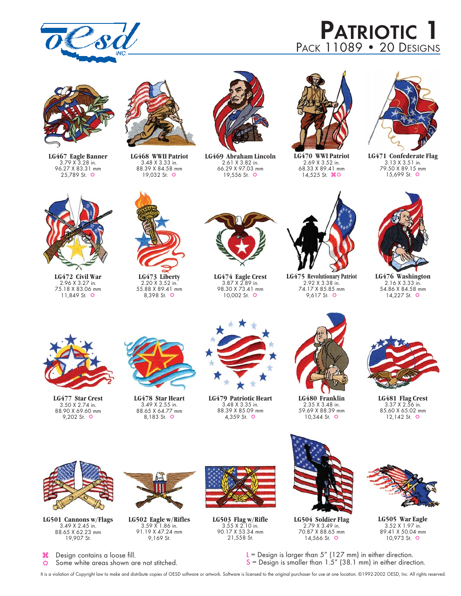

# **PATRIOTIC 1** PACK 11089 • 20 DESIGNS



**LG467 Eagle Banner** 3.79 X 3.28 in. 96.27 X 83.31 mm 25,789 St.  $\Leftrightarrow$ 



**LG468 WWII Patriot** 3.48 X 3.33 in. 88.39 X 84.58 mm 19,032 St.  $\Phi$ 



**LG469 Abraham Lincoln** 2.61 X 3.82 in. 66.29 X 97.03 mm 19,556 St.  $\ddot{\text{o}}$ 



**LG470 WWI Patriot** 2.69 X 3.52 in. 68.33 X 89.41 mm 14,525 St.  $\mathcal{H} \oplus$ 



**LG471 Confederate Flag** 3.13 X 3.51 in. 79.50 X 89.15 mm 15,699 St.  $\ddot{\text{o}}$ 



**LG472 Civil War** 2.96 X 3.27 in. 75.18 X 83.06 mm 11,849 St.  $\Leftrightarrow$ 



**LG473 Liberty** 2.20 X 3.52 in. 55.88 X 89.41 mm 8,398 St.



**LG474 Eagle Crest** 3.87 X 2.89 in. 98.30 X 73.41 mm 10,002 St.  $\Leftrightarrow$ 



**LG475 Revolutionary Patriot** 2.92 X 3.38 in. 74.17 X 85.85 mm 9,617 St.  $\Phi$ 



**LG476 Washington** 2.16 X 3.33 in. 54.86 X 84.58 mm 14,227 St.  $\ddot{\mathbf{Q}}$ 



**LG477 Star Crest** 3.50 X 2.74 in. 88.90 X 69.60 mm 9,202 St.  $\Leftrightarrow$ 



**LG478 Star Heart** 3.49 X 2.55 in. 88.65 X 64.77 mm 8,183 St.

**LG502 Eagle w/Rifles** 3.59 X 1.86 in. 91.19 X 47.24 mm 9,169 St.



**LG479 Patriotic Heart**  3.48 X 3.35 in. 88.39 X 85.09 mm 4,359 St.  $\ddot{\mathbf{Q}}$ 



**LG480 Franklin** 2.35 X 3.48 in. 59.69 X 88.39 mm 10,344 St.  $\ddot{\circ}$ 



**LG481 Flag Crest** 3.37 X 2.56 in. 85.60 X 65.02 mm 12,142 St.  $\Leftrightarrow$ 



**LG501 Cannons w/Flags** 3.49 X 2.45 in. 88.65 X 62.23 mm 19,907 St.



Some white areas shown are not stitched.



**LG503 Flag w/Rifle** 3.55 X 2.10 in. 90.17 X 53.34 mm 21,558 St.



**LG504 Soldier Flag** 2.79 X 3.49 in. 70.87 X 88.65 mm 14,566 St.  $\ddot{\mathcal{Q}}$ 



**LG505 War Eagle** 3.52 X 1.97 in. 89.41 X 50.04 mm 10,973 St.

 $L =$  Design is larger than 5" (127 mm) in either direction.  $S =$  Design is smaller than  $1.5''$  (38.1 mm) in either direction.

It is a violation of Copyright law to make and distribute copies of OESD software or artwork. Software is licensed to the original purchaser for use at one location. ©1992-2002 OESD, Inc. All rights reserved.